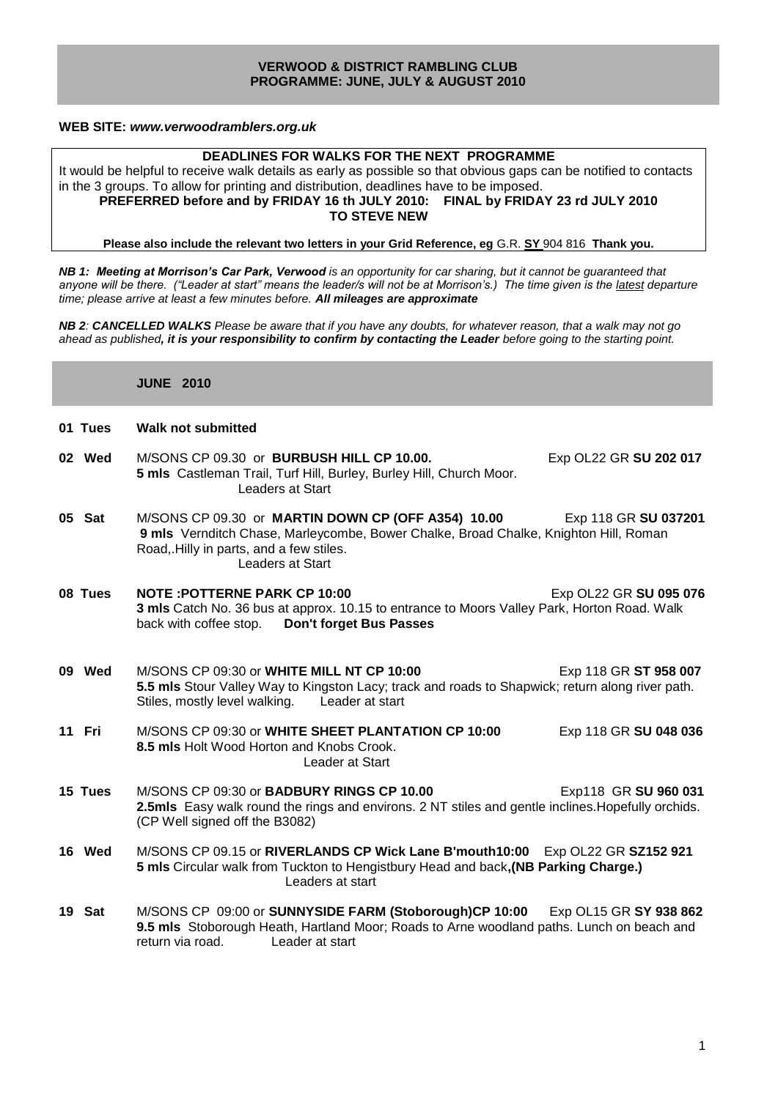#### **VERWOOD & DISTRICT RAMBLING CLUB PROGRAMME: JUNE, JULY & AUGUST 2010**

#### **WEB SITE:** *[www.verwoodramblers.org.uk](http://www.verwoodramblers.org.uk/)*

#### **DEADLINES FOR WALKS FOR THE NEXT PROGRAMME**

It would be helpful to receive walk details as early as possible so that obvious gaps can be notified to contacts in the 3 groups. To allow for printing and distribution, deadlines have to be imposed. **PREFERRED before and by FRIDAY 16 th JULY 2010: FINAL by FRIDAY 23 rd JULY 2010 TO STEVE NEW**

**Please also include the relevant two letters in your Grid Reference, eg** G.R. **SY** 904 816 **Thank you.**

*NB 1: Meeting at Morrison's Car Park, Verwood is an opportunity for car sharing, but it cannot be guaranteed that*  anyone will be there. ("Leader at start" means the leader/s will not be at Morrison's.) The time given is the latest departure *time; please arrive at least a few minutes before. All mileages are approximate*

*NB 2: CANCELLED WALKS Please be aware that if you have any doubts, for whatever reason, that a walk may not go ahead as published, it is your responsibility to confirm by contacting the Leader before going to the starting point.*

**JUNE 2010** 

| <b>Walk not submitted</b><br>01 Tues |
|--------------------------------------|
|--------------------------------------|

- **02 Wed** M/SONS CP 09.30 or **BURBUSH HILL CP 10.00.** Exp OL22 GR **SU 202 017 5 mls** Castleman Trail, Turf Hill, Burley, Burley Hill, Church Moor. Leaders at Start
- **05 Sat** M/SONS CP 09.30 or **MARTIN DOWN CP (OFF A354) 10.00** Exp 118 GR **SU 037201 9 mls** Vernditch Chase, Marleycombe, Bower Chalke, Broad Chalke, Knighton Hill, Roman Road,.Hilly in parts, and a few stiles. Leaders at Start
- **08 Tues NOTE : POTTERNE PARK CP 10:00** EXP OL22 GR SU 095 076 **3 mls** Catch No. 36 bus at approx. 10.15 to entrance to Moors Valley Park, Horton Road. Walk back with coffee stop. **Don't forget Bus Passes**
- **09 Wed** M/SONS CP 09:30 or **WHITE MILL NT CP 10:00** Exp 118 GR **ST 958 007 5.5 mls** Stour Valley Way to Kingston Lacy; track and roads to Shapwick; return along river path. Stiles, mostly level walking. Leader at start
- **11 Fri** M/SONS CP 09:30 or **WHITE SHEET PLANTATION CP 10:00** Exp 118 GR **SU 048 036 8.5 mls** Holt Wood Horton and Knobs Crook. Leader at Start

**15 Tues** M/SONS CP 09:30 or **BADBURY RINGS CP 10.00** Exp118 GR **SU 960 031 2.5mls** Easy walk round the rings and environs. 2 NT stiles and gentle inclines.Hopefully orchids. (CP Well signed off the B3082)

- **16 Wed** M/SONS CP 09.15 or **RIVERLANDS CP Wick Lane B'mouth10:00** Exp OL22 GR **SZ152 921 5 mls** Circular walk from Tuckton to Hengistbury Head and back**,(NB Parking Charge.)** Leaders at start
- **19 Sat** M/SONS CP 09:00 or **SUNNYSIDE FARM (Stoborough)CP 10:00** Exp OL15 GR **SY 938 862 9.5 mls** Stoborough Heath, Hartland Moor; Roads to Arne woodland paths. Lunch on beach and return via road. Leader at start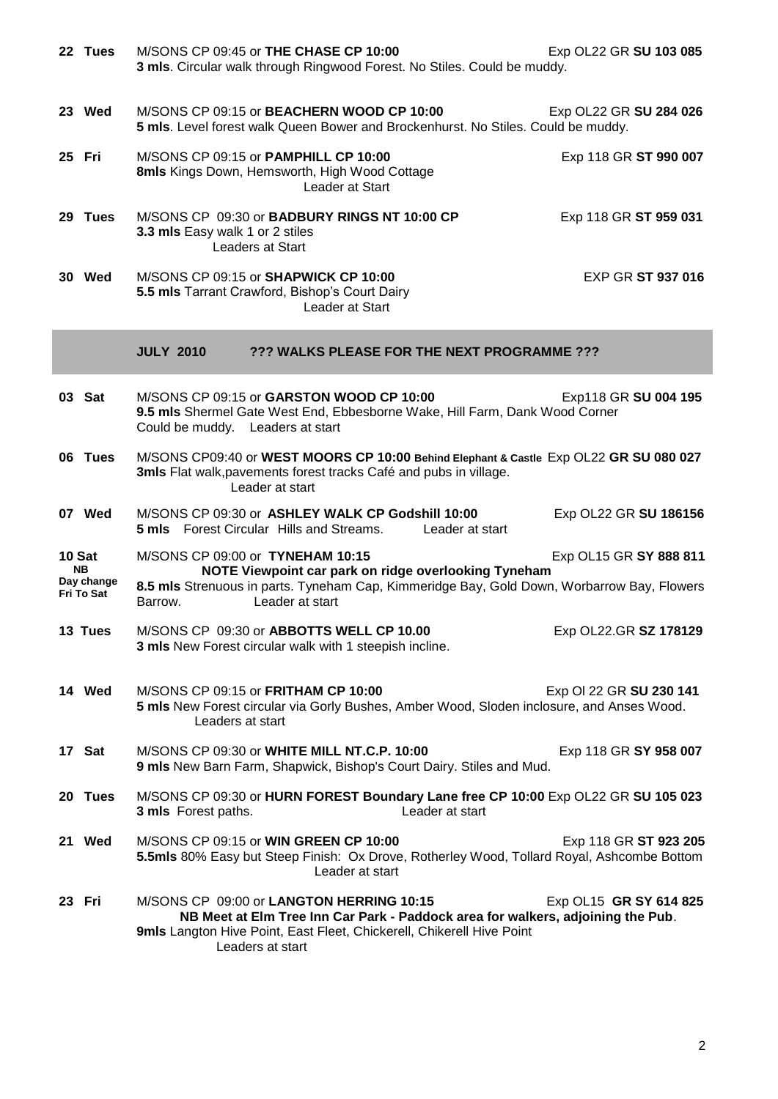| 22 Tues                                   |                                                                                                                                                                               | M/SONS CP 09:45 or THE CHASE CP 10:00                                                                                                 | 3 mls. Circular walk through Ringwood Forest. No Stiles. Could be muddy.                  | Exp OL22 GR SU 103 085                                                                                               |
|-------------------------------------------|-------------------------------------------------------------------------------------------------------------------------------------------------------------------------------|---------------------------------------------------------------------------------------------------------------------------------------|-------------------------------------------------------------------------------------------|----------------------------------------------------------------------------------------------------------------------|
| 23 Wed                                    |                                                                                                                                                                               | M/SONS CP 09:15 or BEACHERN WOOD CP 10:00                                                                                             | 5 mls. Level forest walk Queen Bower and Brockenhurst. No Stiles. Could be muddy.         | Exp OL22 GR SU 284 026                                                                                               |
| 25 Fri                                    |                                                                                                                                                                               | M/SONS CP 09:15 or PAMPHILL CP 10:00<br>8mls Kings Down, Hemsworth, High Wood Cottage<br>Leader at Start                              |                                                                                           | Exp 118 GR ST 990 007                                                                                                |
| 29 Tues                                   | 3.3 mls Easy walk 1 or 2 stiles                                                                                                                                               | M/SONS CP 09:30 or BADBURY RINGS NT 10:00 CP<br><b>Leaders at Start</b>                                                               |                                                                                           | Exp 118 GR ST 959 031                                                                                                |
| 30 Wed                                    |                                                                                                                                                                               | M/SONS CP 09:15 or SHAPWICK CP 10:00<br>5.5 mls Tarrant Crawford, Bishop's Court Dairy<br>Leader at Start                             |                                                                                           | <b>EXP GR ST 937 016</b>                                                                                             |
|                                           | <b>JULY 2010</b>                                                                                                                                                              |                                                                                                                                       | ??? WALKS PLEASE FOR THE NEXT PROGRAMME ???                                               |                                                                                                                      |
| 03 Sat                                    | Could be muddy. Leaders at start                                                                                                                                              | M/SONS CP 09:15 or GARSTON WOOD CP 10:00                                                                                              | 9.5 mls Shermel Gate West End, Ebbesborne Wake, Hill Farm, Dank Wood Corner               | Exp118 GR SU 004 195                                                                                                 |
| 06 Tues                                   | M/SONS CP09:40 or WEST MOORS CP 10:00 Behind Elephant & Castle Exp OL22 GR SU 080 027<br>3mls Flat walk, pavements forest tracks Café and pubs in village.<br>Leader at start |                                                                                                                                       |                                                                                           |                                                                                                                      |
| 07 Wed                                    |                                                                                                                                                                               | M/SONS CP 09:30 or ASHLEY WALK CP Godshill 10:00<br><b>5 mls</b> Forest Circular Hills and Streams.                                   | Leader at start                                                                           | Exp OL22 GR SU 186156                                                                                                |
| 10 Sat<br>NB.<br>Day change<br>Fri To Sat | M/SONS CP 09:00 or TYNEHAM 10:15<br>Barrow.                                                                                                                                   | Leader at start                                                                                                                       | NOTE Viewpoint car park on ridge overlooking Tyneham                                      | Exp OL15 GR SY 888 811<br>8.5 mls Strenuous in parts. Tyneham Cap, Kimmeridge Bay, Gold Down, Worbarrow Bay, Flowers |
| 13 Tues                                   |                                                                                                                                                                               | M/SONS CP 09:30 or ABBOTTS WELL CP 10.00<br>3 mls New Forest circular walk with 1 steepish incline.                                   |                                                                                           | Exp OL22.GR SZ 178129                                                                                                |
| 14 Wed                                    | Leaders at start                                                                                                                                                              | M/SONS CP 09:15 or FRITHAM CP 10:00                                                                                                   | 5 mls New Forest circular via Gorly Bushes, Amber Wood, Sloden inclosure, and Anses Wood. | Exp OI 22 GR SU 230 141                                                                                              |
| 17 Sat                                    |                                                                                                                                                                               | M/SONS CP 09:30 or WHITE MILL NT.C.P. 10:00                                                                                           | 9 mls New Barn Farm, Shapwick, Bishop's Court Dairy. Stiles and Mud.                      | Exp 118 GR SY 958 007                                                                                                |
| 20 Tues                                   | 3 mls Forest paths.                                                                                                                                                           |                                                                                                                                       | Leader at start                                                                           | M/SONS CP 09:30 or HURN FOREST Boundary Lane free CP 10:00 Exp OL22 GR SU 105 023                                    |
| 21 Wed                                    |                                                                                                                                                                               | M/SONS CP 09:15 or WIN GREEN CP 10:00<br>Leader at start                                                                              |                                                                                           | Exp 118 GR ST 923 205<br>5.5mls 80% Easy but Steep Finish: Ox Drove, Rotherley Wood, Tollard Royal, Ashcombe Bottom  |
| 23 Fri                                    |                                                                                                                                                                               | M/SONS CP 09:00 or LANGTON HERRING 10:15<br>9mls Langton Hive Point, East Fleet, Chickerell, Chikerell Hive Point<br>Leaders at start | NB Meet at Elm Tree Inn Car Park - Paddock area for walkers, adjoining the Pub.           | Exp OL15 GR SY 614 825                                                                                               |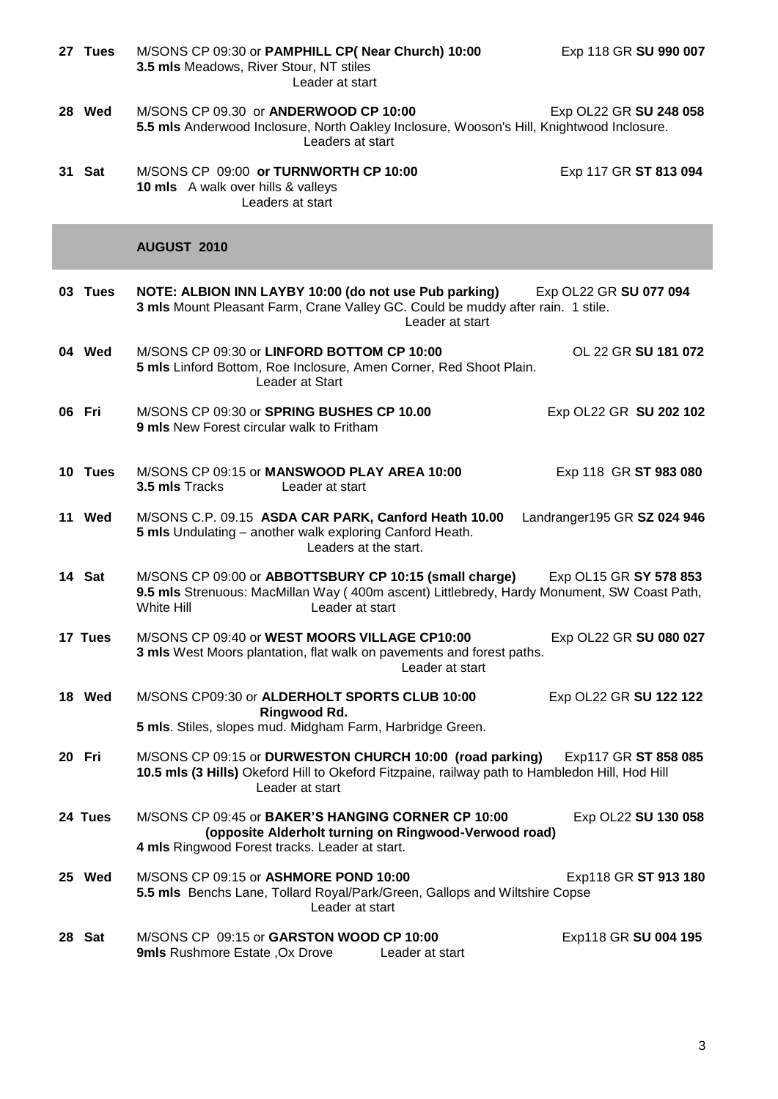| 27 Tues | M/SONS CP 09:30 or PAMPHILL CP( Near Church) 10:00<br>3.5 mls Meadows, River Stour, NT stiles<br>Leader at start                                                                      | Exp 118 GR SU 990 007       |
|---------|---------------------------------------------------------------------------------------------------------------------------------------------------------------------------------------|-----------------------------|
| 28 Wed  | M/SONS CP 09.30 or ANDERWOOD CP 10:00<br>5.5 mls Anderwood Inclosure, North Oakley Inclosure, Wooson's Hill, Knightwood Inclosure.<br>Leaders at start                                | Exp OL22 GR SU 248 058      |
| 31 Sat  | M/SONS CP 09:00 or TURNWORTH CP 10:00<br>10 mls A walk over hills & valleys<br>Leaders at start                                                                                       | Exp 117 GR ST 813 094       |
|         | AUGUST 2010                                                                                                                                                                           |                             |
| 03 Tues | NOTE: ALBION INN LAYBY 10:00 (do not use Pub parking)<br>3 mls Mount Pleasant Farm, Crane Valley GC. Could be muddy after rain. 1 stile.<br>Leader at start                           | Exp OL22 GR SU 077 094      |
| 04 Wed  | M/SONS CP 09:30 or LINFORD BOTTOM CP 10:00<br>5 mls Linford Bottom, Roe Inclosure, Amen Corner, Red Shoot Plain.<br>Leader at Start                                                   | OL 22 GR SU 181 072         |
| 06 Fri  | M/SONS CP 09:30 or SPRING BUSHES CP 10.00<br><b>9 mls</b> New Forest circular walk to Fritham                                                                                         | Exp OL22 GR SU 202 102      |
| 10 Tues | M/SONS CP 09:15 or MANSWOOD PLAY AREA 10:00<br>3.5 mls Tracks<br>Leader at start                                                                                                      | Exp 118 GR ST 983 080       |
| 11 Wed  | M/SONS C.P. 09.15 ASDA CAR PARK, Canford Heath 10.00<br>5 mls Undulating - another walk exploring Canford Heath.<br>Leaders at the start.                                             | Landranger195 GR SZ 024 946 |
| 14 Sat  | M/SONS CP 09:00 or ABBOTTSBURY CP 10:15 (small charge)<br>9.5 mls Strenuous: MacMillan Way (400m ascent) Littlebredy, Hardy Monument, SW Coast Path,<br>White Hill<br>Leader at start | Exp OL15 GR SY 578 853      |
| 17 Tues | M/SONS CP 09:40 or WEST MOORS VILLAGE CP10:00<br>3 mls West Moors plantation, flat walk on pavements and forest paths.<br>Leader at start                                             | Exp OL22 GR SU 080 027      |
| 18 Wed  | M/SONS CP09:30 or ALDERHOLT SPORTS CLUB 10:00<br>Ringwood Rd.<br>5 mls. Stiles, slopes mud. Midgham Farm, Harbridge Green.                                                            | Exp OL22 GR SU 122 122      |
| 20 Fri  | M/SONS CP 09:15 or DURWESTON CHURCH 10:00 (road parking)<br>10.5 mls (3 Hills) Okeford Hill to Okeford Fitzpaine, railway path to Hambledon Hill, Hod Hill                            | Exp117 GR ST 858 085        |
|         | Leader at start                                                                                                                                                                       |                             |
| 24 Tues | M/SONS CP 09:45 or BAKER'S HANGING CORNER CP 10:00<br>(opposite Alderholt turning on Ringwood-Verwood road)<br>4 mls Ringwood Forest tracks. Leader at start.                         | Exp OL22 SU 130 058         |
| 25 Wed  | M/SONS CP 09:15 or ASHMORE POND 10:00<br>5.5 mls Benchs Lane, Tollard Royal/Park/Green, Gallops and Wiltshire Copse<br>Leader at start                                                | Exp118 GR ST 913 180        |